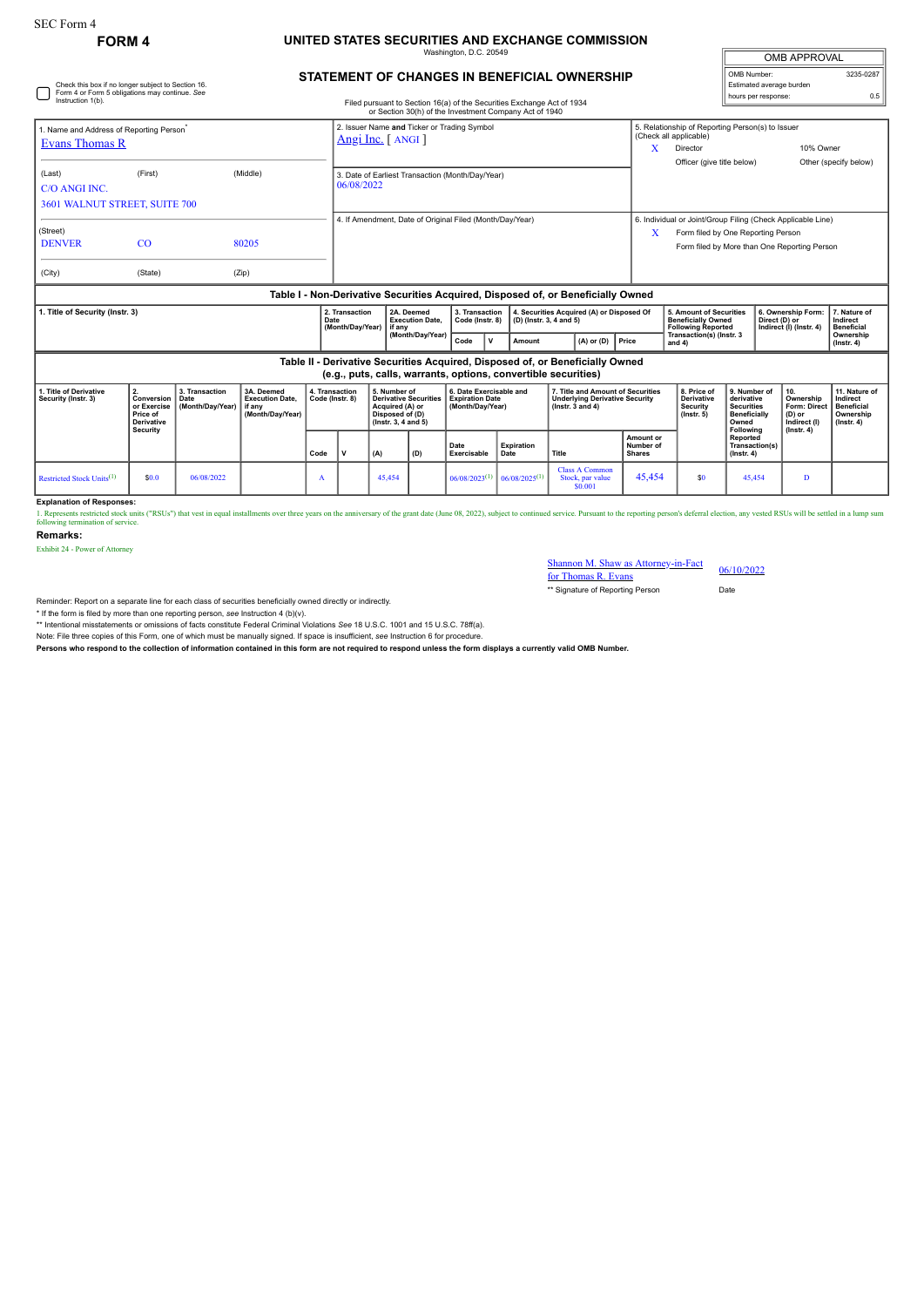## **FORM 4 UNITED STATES SECURITIES AND EXCHANGE COMMISSION** Washington, D.C. 20549

| <b>OMB APPROVAL</b>                     |           |  |  |  |  |  |  |  |  |
|-----------------------------------------|-----------|--|--|--|--|--|--|--|--|
| OMB Number:<br>Estimated average burden | 3235-0287 |  |  |  |  |  |  |  |  |
| hours per response:                     | 0.5       |  |  |  |  |  |  |  |  |

|                                                                                  | Check this box if no longer subject to Section 16.<br>Form 4 or Form 5 obligations may continue. See                                            |                                                                    | <b>STATEMENT OF CHANGES IN BENEFICIAL OWNERSHIP</b>             |                                                                                                                                  |                                                                      |                |       |                                                                                   |                     |                                                                                                                                                        |   | OMB Number:<br>Estimated average burden       |  | 3235-028 |
|----------------------------------------------------------------------------------|-------------------------------------------------------------------------------------------------------------------------------------------------|--------------------------------------------------------------------|-----------------------------------------------------------------|----------------------------------------------------------------------------------------------------------------------------------|----------------------------------------------------------------------|----------------|-------|-----------------------------------------------------------------------------------|---------------------|--------------------------------------------------------------------------------------------------------------------------------------------------------|---|-----------------------------------------------|--|----------|
| Instruction 1(b).                                                                |                                                                                                                                                 |                                                                    |                                                                 | Filed pursuant to Section 16(a) of the Securities Exchange Act of 1934<br>or Section 30(h) of the Investment Company Act of 1940 |                                                                      |                |       |                                                                                   | hours per response: |                                                                                                                                                        | 0 |                                               |  |          |
| Evans Thomas R                                                                   | 1. Name and Address of Reporting Person <sup>*</sup>                                                                                            |                                                                    | 2. Issuer Name and Ticker or Trading Symbol<br>Angi Inc. [ANGI] |                                                                                                                                  |                                                                      |                |       |                                                                                   |                     | 5. Relationship of Reporting Person(s) to Issuer<br>10% Owner<br>Officer (give title below)                                                            |   | Other (specify below)                         |  |          |
| (Last)<br>C/O ANGI INC.                                                          | (First)<br>3601 WALNUT STREET, SUITE 700                                                                                                        | (Middle)                                                           |                                                                 | 3. Date of Earliest Transaction (Month/Day/Year)<br>06/08/2022                                                                   |                                                                      |                |       |                                                                                   |                     |                                                                                                                                                        |   |                                               |  |          |
| (Street)<br><b>DENVER</b>                                                        | CO                                                                                                                                              | 80205                                                              |                                                                 | 4. If Amendment, Date of Original Filed (Month/Day/Year)                                                                         |                                                                      |                |       |                                                                                   |                     | 6. Individual or Joint/Group Filing (Check Applicable Line)<br>X<br>Form filed by One Reporting Person<br>Form filed by More than One Reporting Person |   |                                               |  |          |
| (City)                                                                           | (State)                                                                                                                                         | (Zip)                                                              |                                                                 |                                                                                                                                  |                                                                      |                |       |                                                                                   |                     |                                                                                                                                                        |   |                                               |  |          |
| Table I - Non-Derivative Securities Acquired, Disposed of, or Beneficially Owned |                                                                                                                                                 |                                                                    |                                                                 |                                                                                                                                  |                                                                      |                |       |                                                                                   |                     |                                                                                                                                                        |   |                                               |  |          |
| 1. Title of Security (Instr. 3)                                                  | 2. Transaction<br>Date<br>(Month/Day/Year)                                                                                                      | 2A. Deemed<br><b>Execution Date.</b><br>if anv<br>(Month/Day/Year) | 3. Transaction<br>Code (Instr. 8)                               |                                                                                                                                  | 4. Securities Acquired (A) or Disposed Of<br>(D) (Instr. 3, 4 and 5) |                |       | 5. Amount of Securities<br><b>Beneficially Owned</b><br><b>Following Reported</b> |                     | 6. Ownership Form:<br>Direct (D) or<br>Indirect (I) (Instr. 4)                                                                                         |   | 7. Nature of<br>Indirect<br><b>Beneficial</b> |  |          |
|                                                                                  |                                                                                                                                                 |                                                                    | Code                                                            | <b>v</b>                                                                                                                         | Amount                                                               | $(A)$ or $(D)$ | Price | Transaction(s) (Instr. 3<br>and $4$ )                                             |                     |                                                                                                                                                        |   | Ownership<br>$($ Instr. 4 $)$                 |  |          |
|                                                                                  | Table II - Derivative Securities Acquired, Disposed of, or Beneficially Owned<br>(e.g., puts, calls, warrants, options, convertible securities) |                                                                    |                                                                 |                                                                                                                                  |                                                                      |                |       |                                                                                   |                     |                                                                                                                                                        |   |                                               |  |          |
|                                                                                  |                                                                                                                                                 |                                                                    |                                                                 |                                                                                                                                  |                                                                      |                |       |                                                                                   |                     |                                                                                                                                                        |   |                                               |  |          |

| 1. Title of Derivative<br>Security (Instr. 3) | Conversion   Date<br>Price of<br><b>Derivative</b> | 3. Transaction<br>or Exercise   (Month/Dav/Year)   if any | 3A. Deemed<br><b>Execution Date.</b><br>(Month/Dav/Year) | 4. Transaction<br>Code (Instr. 8) |  | 5. Number of<br>Derivative Securities   Expiration Date<br>Acquired (A) or<br>Disposed of (D)<br>$($ lnstr. 3. 4 and 5 $)$ |     | 6. Date Exercisable and<br>(Month/Dav/Year) |                                       | 7. Title and Amount of Securities<br><b>Underlying Derivative Security</b><br>( $lnstr.$ 3 and 4) |                                         | 8. Price of<br>Derivative<br>Security<br>$($ lnstr. 5 $)$ | l 9. Number of<br>derivative<br><b>Securities</b><br><b>Beneficially</b><br>Owned | Ownership<br>Form: Direct   Beneficial<br>(D) or<br>Indirect (I) | 11. Nature of<br>Indirect<br>Ownership<br>$($ lnstr $, 4)$ |
|-----------------------------------------------|----------------------------------------------------|-----------------------------------------------------------|----------------------------------------------------------|-----------------------------------|--|----------------------------------------------------------------------------------------------------------------------------|-----|---------------------------------------------|---------------------------------------|---------------------------------------------------------------------------------------------------|-----------------------------------------|-----------------------------------------------------------|-----------------------------------------------------------------------------------|------------------------------------------------------------------|------------------------------------------------------------|
|                                               | Security                                           |                                                           |                                                          | Code                              |  | (A)                                                                                                                        | (D) | Date<br>Exercisable                         | <b>Expiration</b><br>Date             | Title                                                                                             | Amount or<br>Number of<br><b>Shares</b> |                                                           | Following<br>Reported<br>Transaction(s)<br>$($ lnstr. 4 $)$                       | $($ lnstr. 4 $)$                                                 |                                                            |
| Restricted Stock Units <sup>(1)</sup>         | \$0.0                                              | 06/08/2022                                                |                                                          | A                                 |  | 45.454                                                                                                                     |     | $06/08/2023^{(1)}$                          | $\log_{10}$ 06/08/2025 <sup>(1)</sup> | <b>Class A Common</b><br>Stock, par value<br>\$0.001                                              | 45.454                                  | \$0                                                       | 45.454                                                                            | D                                                                |                                                            |

**Explanation of Responses:**

1. Represents restriced stock units ("RSUs") that vest in equal installments over three years on the anniversary of the grant date (June 08, 2022), subject to continued service. Pursuant to the reporting person's deferral

**Remarks:**

Exhibit 24 - Power of Attorney

## Shannon M. Shaw as Attorney-in-Fact<br>for Thomas R. Evans 66/10/2022

\*\* Signature of Reporting Person Date

Reminder: Report on a separate line for each class of securities beneficially owned directly or indirectly.

\* If the form is filed by more than one reporting person, see Instruction 4 (b)(v).<br>\*\* Intentional misstatements or omissions of facts constitute Federal Criminal Violations See 18 U.S.C. 1001 and 15 U.S.C. 78ff(a). Note: File three copies of this Form, one of which must be manually signed. If space is insufficient, *see* Instruction 6 for procedure.

**Persons who respond to the collection of information contained in this form are not required to respond unless the form displays a currently valid OMB Number.**